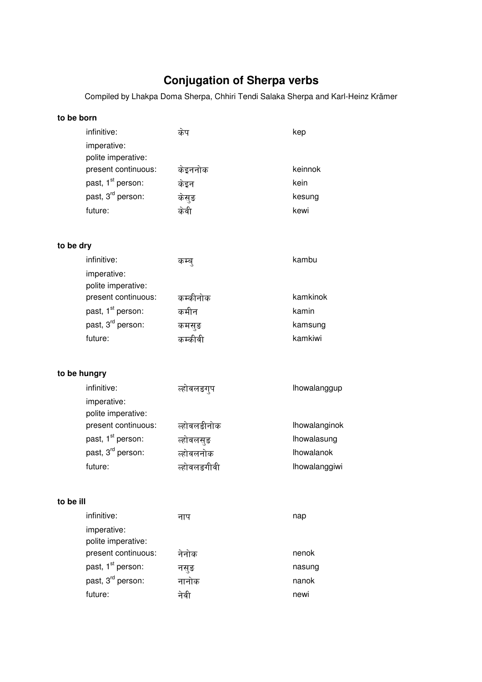# **Conjugation of Sherpa verbs**

Compiled by Lhakpa Doma Sherpa, Chhiri Tendi Salaka Sherpa and Karl-Heinz Krämer

| to be born                 |                               |                     |                   |  |
|----------------------------|-------------------------------|---------------------|-------------------|--|
| infinitive:<br>imperative: | polite imperative:            | केप                 | kep               |  |
|                            | present continuous:           | केइननोक             | keinnok           |  |
|                            | past, 1 <sup>st</sup> person: | केइन                | kein              |  |
|                            | past, 3 <sup>rd</sup> person: | केसुङ               | kesung            |  |
| future:                    |                               | केवी                | kewi              |  |
| to be dry                  |                               |                     |                   |  |
| infinitive:                |                               | कम्ब्               | kambu             |  |
| imperative:                | polite imperative:            |                     |                   |  |
|                            | present continuous:           | कम्कीनोक            | kamkinok          |  |
|                            | past, 1 <sup>st</sup> person: | कमीन                | kamin             |  |
|                            | past, 3 <sup>rd</sup> person: | कमसुङ               | kamsung           |  |
| future:                    |                               | कम्कीवी             | kamkiwi           |  |
| to be hungry               |                               |                     |                   |  |
| infinitive:<br>imperative: | polite imperative:            | <i>र्</i> होवलङग्प  | lhowalanggup      |  |
|                            | present continuous:           | ल्होवलङीनोक         | Ihowalanginok     |  |
|                            | past, 1 <sup>st</sup> person: | त्होवलसुङ           | Ihowalasung       |  |
|                            | past, 3 <sup>rd</sup> person: | स्तोवलनोक           | <b>Ihowalanok</b> |  |
| future:                    |                               | ल्होवलङगीव <u>ी</u> | Ihowalanggiwi     |  |
| to be ill                  |                               |                     |                   |  |
| infinitive:<br>imperative: | polite imperative:            | नाप                 | nap               |  |
|                            | present continuous:           | नेनोक               | nenok             |  |
|                            | past, 1 <sup>st</sup> person: | नसुङ                | nasung            |  |
|                            | past, 3 <sup>rd</sup> person: | नानोक               | nanok             |  |
| future:                    |                               | नेवी                | newi              |  |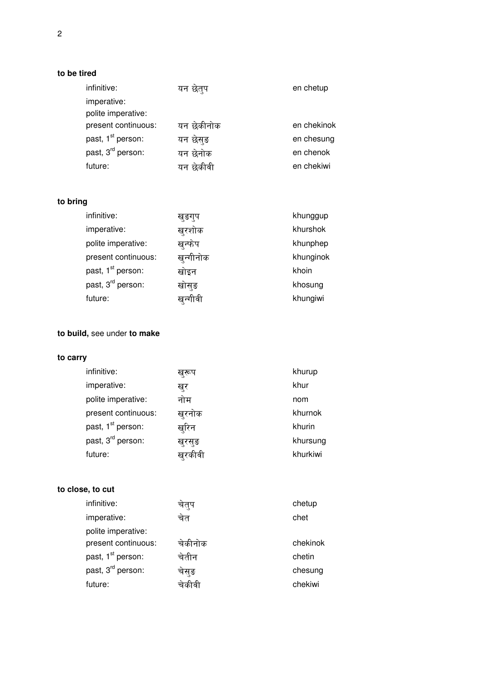### **to be tired**

| infinitive:                   | यन छेत्प   | en chetup   |
|-------------------------------|------------|-------------|
| imperative:                   |            |             |
| polite imperative:            |            |             |
| present continuous:           | यन छेकीनोक | en chekinok |
| past, 1 <sup>st</sup> person: | यन छेसड    | en chesung  |
| past, 3 <sup>rd</sup> person: | यन छेनोक   | en chenok   |
| future:                       | यन छेकीवी  | en chekiwi  |
|                               |            |             |

# **to bring**

| infinitive:                   | खङगुप     | khunggup  |
|-------------------------------|-----------|-----------|
| imperative:                   | खुरशोक    | khurshok  |
| polite imperative:            | खन्फेप    | khunphep  |
| present continuous:           | खुन्गीनोक | khunginok |
| past, 1 <sup>st</sup> person: | खोइन      | khoin     |
| past, 3 <sup>rd</sup> person: | खोसुङ     | khosung   |
| future:                       | खुन्गावी  | khungiwi  |

# **to build,** see under **to make**

# **to carry**

| infinitive:                   | ख्रूप  | khurup   |
|-------------------------------|--------|----------|
| imperative:                   | ख्र    | khur     |
| polite imperative:            | नोम    | nom      |
| present continuous:           | खुरनोक | khurnok  |
| past, 1 <sup>st</sup> person: | खरिन   | khurin   |
| past, 3 <sup>rd</sup> person: | खुरसुङ | khursung |
| future:                       | खरकावो | khurkiwi |

#### **to close, to cut**

| चतुप    | chetup   |
|---------|----------|
| चेत     | chet     |
|         |          |
| चेकीनोक | chekinok |
| चेतीन   | chetin   |
| चेसङ    | chesung  |
| चकावा   | chekiwi  |
|         |          |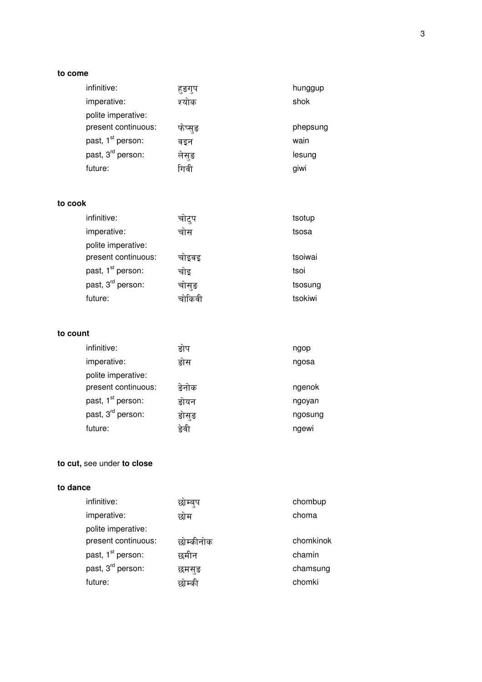#### to come

| infinitive:                   | हङग्प | hunggup  |
|-------------------------------|-------|----------|
| imperative:                   | श्योक | shok     |
| polite imperative:            |       |          |
| present continuous:           | फप्सङ | phepsung |
| past, 1 <sup>st</sup> person: | वडन   | wain     |
| past, 3 <sup>rd</sup> person: | लेसङ  | lesung   |
| future:                       | गिवी  | giwi     |
|                               |       |          |

#### to cook

| infinitive:                   | चोट्प | tsotup  |
|-------------------------------|-------|---------|
| imperative:                   | चोस   | tsosa   |
| polite imperative:            |       |         |
| present continuous:           | चोइवइ | tsoiwai |
| past, 1 <sup>st</sup> person: | चोइ   | tsoi    |
| past, 3 <sup>rd</sup> person: | चोसुङ | tsosung |
| future:                       | ॥कव   | tsokiwi |

### to count

| infinitive:                   | ङोप   | ngop    |
|-------------------------------|-------|---------|
| imperative:                   | डोस   | ngosa   |
| polite imperative:            |       |         |
| present continuous:           | ङेनोक | ngenok  |
| past, 1 <sup>st</sup> person: | ङोयन  | ngoyan  |
| past, 3 <sup>rd</sup> person: | ङोसुङ | ngosung |
| future:                       | डेवी  | ngewi   |

# to cut, see under to close

#### to dance

|           | chombup   |
|-----------|-----------|
| छोम       | choma     |
|           |           |
| छोम्कीनोक | chomkinok |
| छमीन      | chamin    |
| छमसङ      | chamsung  |
| बाम्का    | chomki    |
|           |           |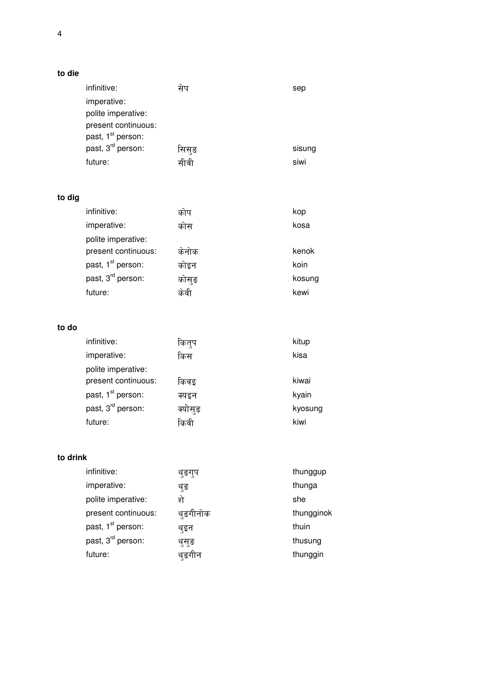| to die |  |
|--------|--|
|--------|--|

|          | infinitive:<br>imperative:<br>polite imperative:<br>present continuous:<br>past, 1 <sup>st</sup> person:<br>past, 3 <sup>rd</sup> person:<br>future: | सेप<br>सिसुङ<br>सीवी | sep<br>sisung<br>siwi |
|----------|------------------------------------------------------------------------------------------------------------------------------------------------------|----------------------|-----------------------|
|          |                                                                                                                                                      |                      |                       |
| to dig   |                                                                                                                                                      |                      |                       |
|          | infinitive:                                                                                                                                          | कोप                  | kop                   |
|          | imperative:<br>polite imperative:                                                                                                                    | कोस                  | kosa                  |
|          | present continuous:                                                                                                                                  | केनोक                | kenok                 |
|          | past, 1 <sup>st</sup> person:                                                                                                                        | कोइन                 | koin                  |
|          | past, 3 <sup>rd</sup> person:                                                                                                                        | कोसुङ                | kosung                |
|          | future:                                                                                                                                              | केवी                 | kewi                  |
|          |                                                                                                                                                      |                      |                       |
| to do    |                                                                                                                                                      |                      |                       |
|          | infinitive:                                                                                                                                          | कित्प                | kitup                 |
|          | imperative:                                                                                                                                          | किस                  | kisa                  |
|          | polite imperative:                                                                                                                                   |                      |                       |
|          | present continuous:                                                                                                                                  | किवइ                 | kiwai                 |
|          | past, 1 <sup>st</sup> person:                                                                                                                        | क्यइन                | kyain                 |
|          | past, 3 <sup>rd</sup> person:                                                                                                                        | क्योसुङ              | kyosung               |
|          | future:                                                                                                                                              | किवी                 | kiwi                  |
| to drink |                                                                                                                                                      |                      |                       |
|          | infinitive:                                                                                                                                          |                      | thunggup              |
|          | imperative:                                                                                                                                          | थुङगुप               | thunga                |
|          |                                                                                                                                                      | थुङ                  |                       |

| imperative:                   | थ्ङ     | thunga     |
|-------------------------------|---------|------------|
| polite imperative:            | े.      | she        |
| present continuous:           | थङगीनोक | thungginok |
| past, 1 <sup>st</sup> person: | थ्इन    | thuin      |
| past, 3 <sup>rd</sup> person: | थुसुङ   | thusung    |
| future:                       | थङगीन   | thunggin   |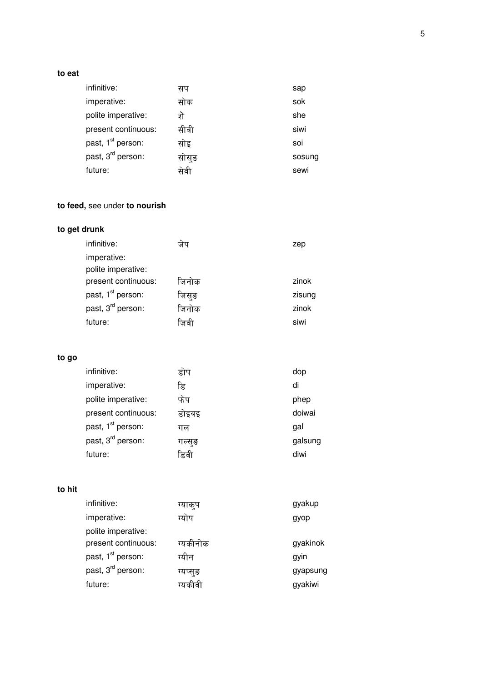#### **to eat**

| infinitive:                   | सप    | sap    |
|-------------------------------|-------|--------|
| imperative:                   | साक   | sok    |
| polite imperative:            | शे    | she    |
| present continuous:           | सीवी  | siwi   |
| past, 1 <sup>st</sup> person: | सोइ   | soi    |
| past, 3 <sup>rd</sup> person: | सास्ङ | sosung |
| future:                       | सवा   | sewi   |
|                               |       |        |

# **to feed,** see under **to nourish**

# **to get drunk**

| infinitive:                   | जप    | zep    |
|-------------------------------|-------|--------|
| imperative:                   |       |        |
| polite imperative:            |       |        |
| present continuous:           | जिनोक | zinok  |
| past, 1 <sup>st</sup> person: | जिस्ङ | zisung |
| past, 3 <sup>rd</sup> person: | जिनोक | zinok  |
| future:                       | जवा   | siwi   |

#### **to go**

| infinitive:                   | डाप   | dop     |
|-------------------------------|-------|---------|
| imperative:                   | डि    | di      |
| polite imperative:            | फंप   | phep    |
| present continuous:           | डाइवइ | doiwai  |
| past, 1 <sup>st</sup> person: | गल    | gal     |
| past, 3 <sup>rd</sup> person: | गल्सङ | galsung |
| future:                       | डिवी  | diwi    |

#### **to hit**

| infinitive:                   | ग्याक्प  | gyakup   |
|-------------------------------|----------|----------|
| imperative:                   | ग्योप    | gyop     |
| polite imperative:            |          |          |
| present continuous:           | ग्यकीनोक | gyakinok |
| past, 1 <sup>st</sup> person: | ग्यीन    | gyin     |
| past, 3 <sup>rd</sup> person: | ग्यप्सङ  | gyapsung |
| future:                       | ग्यकावा  | gyakiwi  |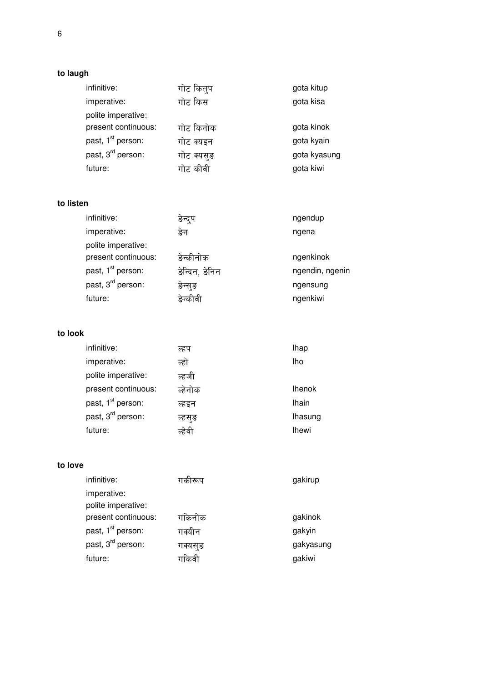# **to laugh**

| infinitive:                   | गोट कितुप  | gota kitup   |
|-------------------------------|------------|--------------|
| imperative:                   | गोट किस    | gota kisa    |
| polite imperative:            |            |              |
| present continuous:           | गोट किनोक  | gota kinok   |
| past, 1 <sup>st</sup> person: | गोट क्यइन  | gota kyain   |
| past, 3 <sup>rd</sup> person: | गोट क्यसुङ | gota kyasung |
| future:                       | गोट कीवी   | gota kiwi    |

#### **to listen**

| infinitive:                   | ङन्द्प         | ngendup         |
|-------------------------------|----------------|-----------------|
| imperative:                   | ङेन            | ngena           |
| polite imperative:            |                |                 |
| present continuous:           | ङेन्कीनोक      | ngenkinok       |
| past, 1 <sup>st</sup> person: | ङेन्दिन, ङेनिन | ngendin, ngenin |
| past, 3 <sup>rd</sup> person: | ङेन्स्ङ        | ngensung        |
| future:                       | इन्कावी        | ngenkiwi        |

### **to look**

| infinitive:                   | ल्हप    | <b>lhap</b>   |
|-------------------------------|---------|---------------|
| imperative:                   | त्हो    | lho           |
| polite imperative:            | ल्हजी   |               |
| present continuous:           | ल्हेनोक | <b>Ihenok</b> |
| past, 1 <sup>st</sup> person: | ल्हइन   | <b>Ihain</b>  |
| past, 3 <sup>rd</sup> person: | ल्हसुङ  | lhasung       |
| future:                       | ल्हेवी  | <b>Ihewi</b>  |

#### **to love**

| गकारूप   | gakirup   |
|----------|-----------|
|          |           |
| गकिनोक   | gakinok   |
| गर्क्यान | gakyin    |
| गक्यसुङ  | gakyasung |
| गाकवा    | gakiwi    |
|          |           |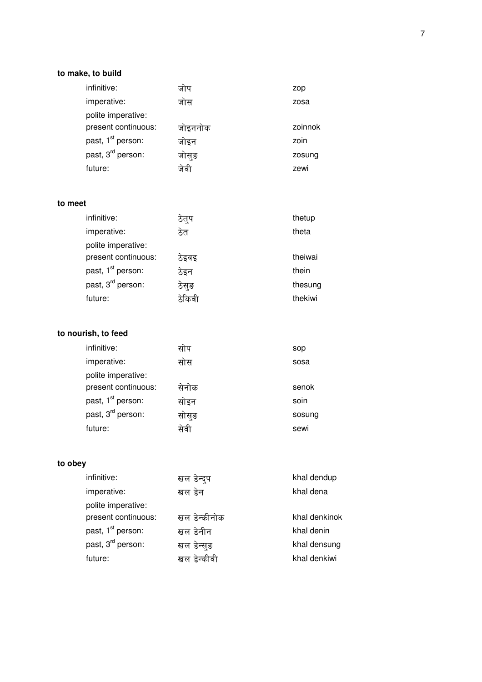# to make, to build

| imperative:<br>जोस<br>zosa                       | zop     |
|--------------------------------------------------|---------|
|                                                  |         |
| polite imperative:                               |         |
| present continuous:<br>जोइननोक                   | zoinnok |
| past, 1 <sup>st</sup> person:<br>जोइन<br>zoin    |         |
| past, 3 <sup>rd</sup> person:<br>जोसुङ<br>zosung |         |
| future:<br>zewi<br>जवा                           |         |

#### to meet

| infinitive:                   | ठत्प  | thetup  |
|-------------------------------|-------|---------|
| imperative:                   | ठेत   | theta   |
| polite imperative:            |       |         |
| present continuous:           | ठेइवइ | theiwai |
| past, 1 <sup>st</sup> person: | ठेइन  | thein   |
| past, 3 <sup>rd</sup> person: | ठेस्ङ | thesung |
| future:                       | ठाकवा | thekiwi |

# to nourish, to feed

| infinitive:                   | साप   | sop    |
|-------------------------------|-------|--------|
| imperative:                   | सास   | sosa   |
| polite imperative:            |       |        |
| present continuous:           | सेनोक | senok  |
| past, 1 <sup>st</sup> person: | साइन  | soin   |
| past, 3 <sup>rd</sup> person: | सोस्ङ | sosung |
| future:                       | सेवी  | sewi   |

# to obey

| खल ङेन्द्प   | khal dendup   |
|--------------|---------------|
| खल डेन       | khal dena     |
|              |               |
| खल डेन्कीनोक | khal denkinok |
| खल ङेनीन     | khal denin    |
| खल ङेन्सङ    | khal densung  |
| खल डेन्कीवी  | khal denkiwi  |
|              |               |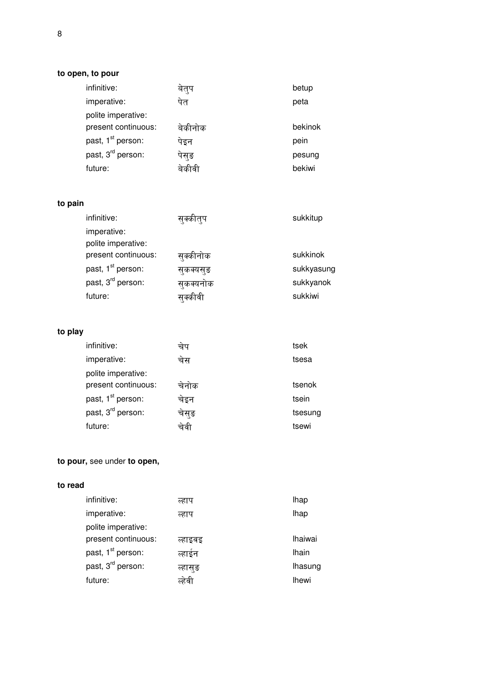#### **to open, to pour**

| infinitive:                   | बेत्प   | betup   |
|-------------------------------|---------|---------|
| imperative:                   | पेत     | peta    |
| polite imperative:            |         |         |
| present continuous:           | बेकीनोक | bekinok |
| past, 1 <sup>st</sup> person: | पेइन    | pein    |
| past, 3 <sup>rd</sup> person: | पेसङ    | pesung  |
| future:                       |         | bekiwi  |

# **to pain**

| infinitive:                   | सक्कात्प  | sukkitup   |
|-------------------------------|-----------|------------|
| imperative:                   |           |            |
| polite imperative:            |           |            |
| present continuous:           | सक्कीनोक  | sukkinok   |
| past, 1 <sup>st</sup> person: | सुकक्यसुङ | sukkyasung |
| past, 3 <sup>rd</sup> person: | सुकक्यनोक | sukkyanok  |
| future:                       | सक्कावा   | sukkiwi    |

# **to play**

| infinitive:                   | चेप   | tsek    |
|-------------------------------|-------|---------|
| imperative:                   | चेस   | tsesa   |
| polite imperative:            |       |         |
| present continuous:           | चेनोक | tsenok  |
| past, 1 <sup>st</sup> person: | चेइन  | tsein   |
| past, 3 <sup>rd</sup> person: | चेस्ङ | tsesung |
| future:                       | चेवी  | tsewi   |

# **to pour,** see under **to open,**

### **to read**

| infinitive:                   | ल्हाप   | <b>lhap</b>    |
|-------------------------------|---------|----------------|
| imperative:                   | ल्हाप   | lhap           |
| polite imperative:            |         |                |
| present continuous:           | त्हाइवइ | <b>Ihaiwai</b> |
| past, 1 <sup>st</sup> person: | व्हाईन  | <b>Ihain</b>   |
| past, 3 <sup>rd</sup> person: | त्हासुङ | lhasung        |
| future:                       | त्हेवी  | <b>Ihewi</b>   |
|                               |         |                |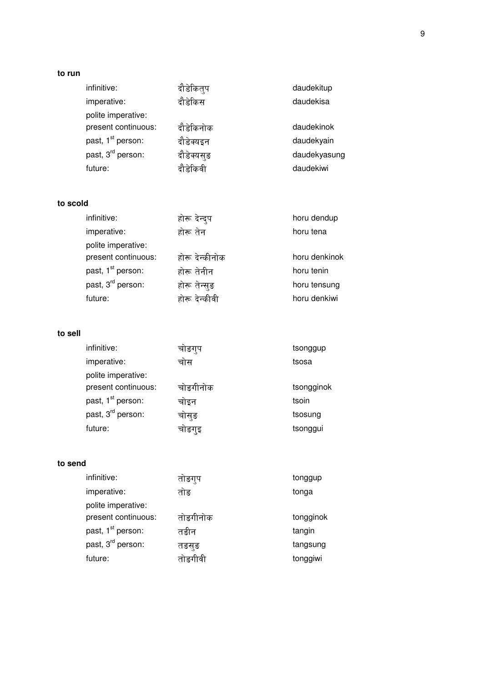#### **to run**

| infinitive:                   | दौडेकित्प  | daudekitup   |
|-------------------------------|------------|--------------|
| imperative:                   | दौडेकिस    | daudekisa    |
| polite imperative:            |            |              |
| present continuous:           | दौडेकिनोक  | daudekinok   |
| past, 1 <sup>st</sup> person: | दौडेक्यइन  | daudekyain   |
| past, 3 <sup>rd</sup> person: | दौडेक्यसुङ | daudekyasung |
| future:                       | दौड़ेकिवी  | daudekiwi    |

### **to scold**

| infinitive:                   | होरू देन्दुप   | horu dendup   |
|-------------------------------|----------------|---------------|
| imperative:                   | होरू तेन       | horu tena     |
| polite imperative:            |                |               |
| present continuous:           | होरू देन्कीनोक | horu denkinok |
| past, 1 <sup>st</sup> person: | होरू तेनीन     | horu tenin    |
| past, 3 <sup>rd</sup> person: | होरू तेन्सुङ   | horu tensung  |
| future:                       | होरू देन्कीवी  | horu denkiwi  |

### **to sell**

| infinitive:                   | चाङगुप   | tsonggup   |
|-------------------------------|----------|------------|
| imperative:                   | चोस      | tsosa      |
| polite imperative:            |          |            |
| present continuous:           | चोङगीनोक | tsongginok |
| past, 1 <sup>st</sup> person: | चोइन     | tsoin      |
| past, 3 <sup>rd</sup> person: | चोसुङ    | tsosung    |
| future:                       | चाङगुइ   | tsonggui   |

#### **to send**

| infinitive:                   | ताङगुप   | tonggup   |
|-------------------------------|----------|-----------|
| imperative:                   | तोङ      | tonga     |
| polite imperative:            |          |           |
| present continuous:           | तोङगीनोक | tongginok |
| past, 1 <sup>st</sup> person: | तङीन     | tangin    |
| past, 3 <sup>rd</sup> person: | तङसङ     | tangsung  |
| future:                       | तोङगीवी  | tonggiwi  |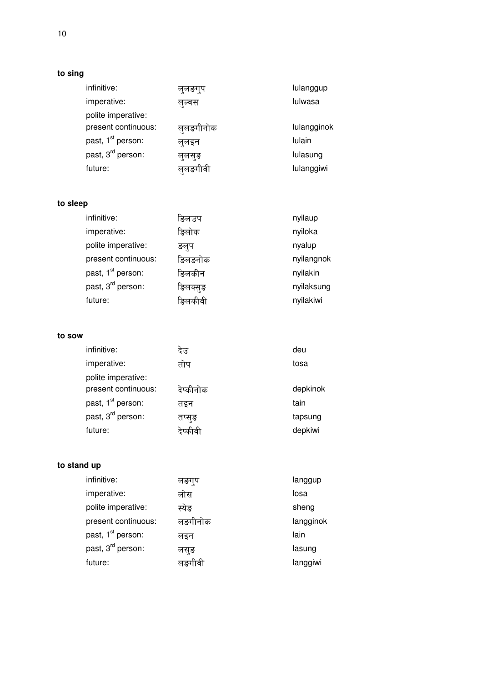# **to sing**

| ल्लङगुप   | lulanggup   |
|-----------|-------------|
| लुल्वस    | lulwasa     |
|           |             |
| लुलङगीनोक | lulangginok |
| ल्लइन     | lulain      |
| लुलसुङ    | lulasung    |
| ललङगीवी   | lulanggiwi  |
|           |             |

# **to sleep**

| infinitive:                   | डिलउप   | nyilaup    |
|-------------------------------|---------|------------|
| imperative:                   | डिलोक   | nyiloka    |
| polite imperative:            | ङलप     | nyalup     |
| present continuous:           | ङिलङनोक | nyilangnok |
| past, 1 <sup>st</sup> person: | ङिलकीन  | nyilakin   |
| past, 3 <sup>rd</sup> person: | ङिलक्सङ | nyilaksung |
| future:                       | डिलकीवी | nyilakiwi  |

#### **to sow**

| infinitive:                   | देउ       | deu      |
|-------------------------------|-----------|----------|
| imperative:                   | तोप       | tosa     |
| polite imperative:            |           |          |
| present continuous:           | देप्कीनोक | depkinok |
| past, 1 <sup>st</sup> person: | तइन       | tain     |
| past, 3 <sup>rd</sup> person: | तप्सङ     | tapsung  |
| future:                       | दप्कावा   | depkiwi  |

### **to stand up**

| infinitive:                   | लङगुप   | langgup   |
|-------------------------------|---------|-----------|
| imperative:                   | लोस     | losa      |
| polite imperative:            | स्येङ   | sheng     |
| present continuous:           | लङगीनोक | langginok |
| past, 1 <sup>st</sup> person: | लइन     | lain      |
| past, 3 <sup>rd</sup> person: | लसङ     | lasung    |
| future:                       | लङगीवी  | langgiwi  |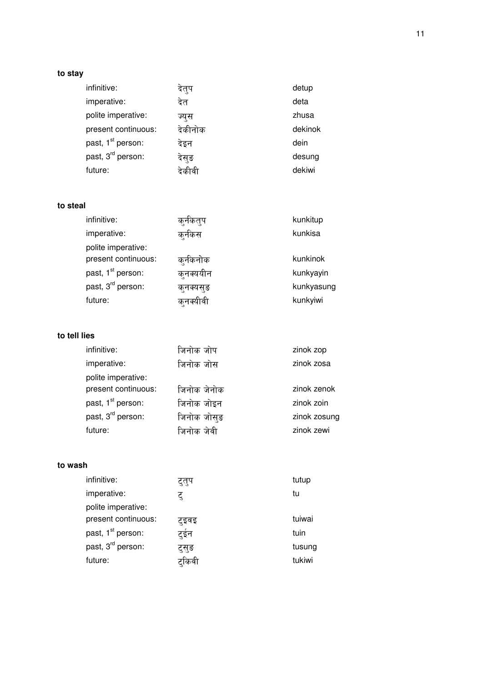# **to stay**

| infinitive:                   | दत्प    | detup   |
|-------------------------------|---------|---------|
| imperative:                   | देत     | deta    |
| polite imperative:            | ज्यस    | zhusa   |
| present continuous:           | देकीनोक | dekinok |
| past, 1 <sup>st</sup> person: | देइन    | dein    |
| past, 3 <sup>rd</sup> person: | देस्ङ   | desung  |
| future:                       |         | dekiwi  |

#### **to steal**

| infinitive:                   | कनकतप     | kunkitup   |
|-------------------------------|-----------|------------|
| imperative:                   | कर्नकस    | kunkisa    |
| polite imperative:            |           |            |
| present continuous:           | कुर्नकनोक | kunkinok   |
| past, 1 <sup>st</sup> person: | क्नक्ययीन | kunkyayin  |
| past, 3 <sup>rd</sup> person: | कनक्यसङ   | kunkyasung |
| future:                       | कनक्यावा  | kunkyiwi   |

#### **to tell lies**

| infinitive:                   | जिनोक जोप   | zinok zop    |
|-------------------------------|-------------|--------------|
| imperative:                   | जिनोक जोस   | zinok zosa   |
| polite imperative:            |             |              |
| present continuous:           | जिनोक जेनोक | zinok zenok  |
| past, 1 <sup>st</sup> person: | जिनोक जोइन  | zinok zoin   |
| past, 3 <sup>rd</sup> person: | जिनोक जोसुङ | zinok zosung |
| future:                       | जिनोक जेवी  | zinok zewi   |

#### **to wash**

| infinitive:                   | द्राप | tutup  |
|-------------------------------|-------|--------|
| imperative:                   | ट्    | tu     |
| polite imperative:            |       |        |
| present continuous:           | टइवइ  | tuiwai |
| past, 1 <sup>st</sup> person: | टुईन  | tuin   |
| past, 3 <sup>rd</sup> person: | ट्सुङ | tusung |
| future:                       | टाकवा | tukiwi |